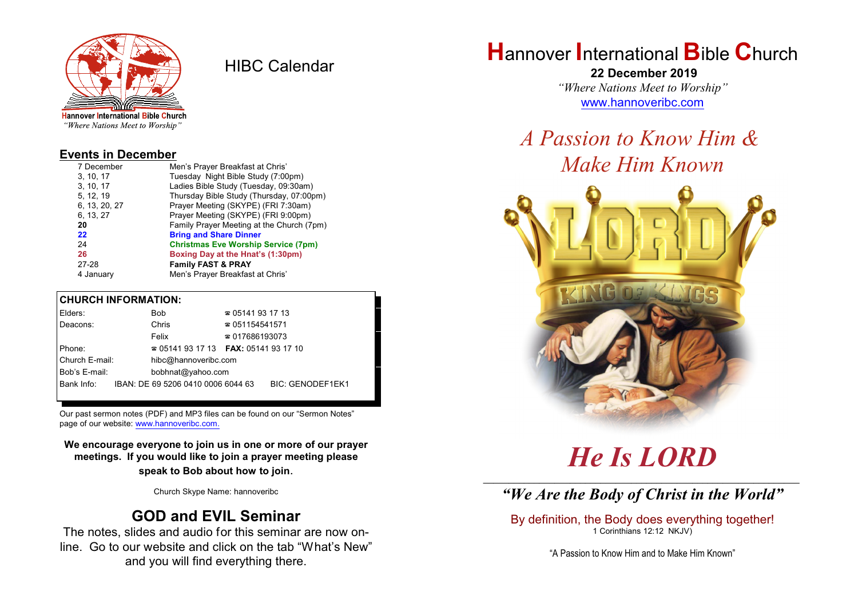

HIBC Calendar

"Where Nations Meet to Worship"

#### **Events in December**

| 7 December    | Men's Prayer Breakfast at Chris'           |
|---------------|--------------------------------------------|
| 3.10.17       | Tuesday Night Bible Study (7:00pm)         |
| 3, 10, 17     | Ladies Bible Study (Tuesday, 09:30am)      |
| 5, 12, 19     | Thursday Bible Study (Thursday, 07:00pm)   |
| 6, 13, 20, 27 | Prayer Meeting (SKYPE) (FRI 7:30am)        |
| 6, 13, 27     | Prayer Meeting (SKYPE) (FRI 9:00pm)        |
| 20            | Family Prayer Meeting at the Church (7pm)  |
| 22            | <b>Bring and Share Dinner</b>              |
| 24            | <b>Christmas Eve Worship Service (7pm)</b> |
| 26            | Boxing Day at the Hnat's (1:30pm)          |
| 27-28         | <b>Family FAST &amp; PRAY</b>              |
| 4 January     | Men's Prayer Breakfast at Chris'           |

#### **CHURCH INFORMATION:**

| Elders:        | <b>Bob</b>                                    | $\approx 05141931713$  |                         |
|----------------|-----------------------------------------------|------------------------|-------------------------|
| Deacons:       | Chris                                         | $\approx 051154541571$ |                         |
|                | Felix                                         | $\approx 017686193073$ |                         |
| Phone:         | $\approx 05141931713$ FAX: 0514193 17 10      |                        |                         |
| Church E-mail: | hibc@hannoveribc.com                          |                        |                         |
| Bob's E-mail:  | bobhnat@yahoo.com                             |                        |                         |
|                | Bank Info: IBAN: DE 69 5206 0410 0006 6044 63 |                        | <b>BIC: GENODEF1EK1</b> |
|                |                                               |                        |                         |

Our past sermon notes (PDF) and MP3 files can be found on our "Sermon Notes" page of our website: [www.hannoveribc.com.](http://www.hannoveribc.com.)

**We encourage everyone to join us in one or more of our prayer meetings. If you would like to join a prayer meeting please speak to Bob about how to join**.

Church Skype Name: hannoveribc

## **GOD and EVIL Seminar**

The notes, slides and audio for this seminar are now online. Go to our website and click on the tab "What's New" and you will find everything there.

## **H**annover **I**nternational **B**ible **C**hurch

 **22 December 2019** *"Where Nations Meet to Worship"* [www.hannoveribc.com](http://www.hannoveribc.com)

*A Passion to Know Him & Make Him Known*



# *He Is LORD*

## \_\_\_\_\_\_\_\_\_\_\_\_\_\_\_\_\_\_\_\_\_\_\_\_\_\_\_\_\_\_\_\_\_\_\_\_\_\_\_\_\_\_\_\_\_\_\_\_\_\_\_\_\_\_\_\_\_\_\_\_\_\_ *"We Are the Body of Christ in the World"*

By definition, the Body does everything together! 1 Corinthians 12:12 NKJV)

"A Passion to Know Him and to Make Him Known"